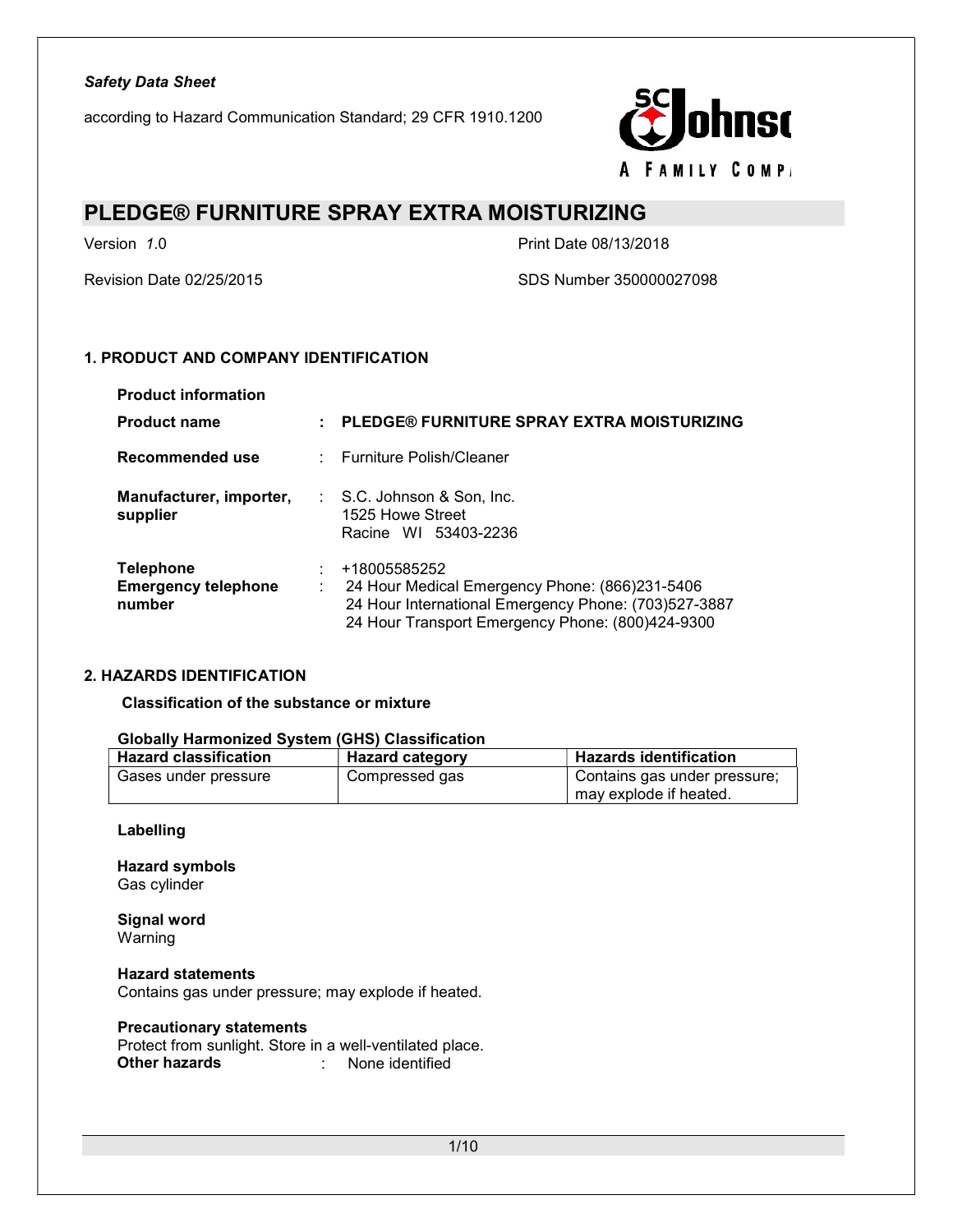according to Hazard Communication Standard; 29 CFR 1910.1200



## PLEDGE® FURNITURE SPRAY EXTRA MOISTURIZING

Version 1.0 Print Date 08/13/2018

Revision Date 02/25/2015 SDS Number 350000027098

### 1. PRODUCT AND COMPANY IDENTIFICATION

| <b>Product information</b>                               |   |                                                                                                                                                                            |
|----------------------------------------------------------|---|----------------------------------------------------------------------------------------------------------------------------------------------------------------------------|
| <b>Product name</b>                                      | ÷ | <b>PLEDGE® FURNITURE SPRAY EXTRA MOISTURIZING</b>                                                                                                                          |
| Recommended use                                          |   | : Furniture Polish/Cleaner                                                                                                                                                 |
| Manufacturer, importer,<br>supplier                      |   | S.C. Johnson & Son, Inc.<br>1525 Howe Street<br>Racine WI 53403-2236                                                                                                       |
| <b>Telephone</b><br><b>Emergency telephone</b><br>number | ÷ | +18005585252<br>24 Hour Medical Emergency Phone: (866)231-5406<br>24 Hour International Emergency Phone: (703)527-3887<br>24 Hour Transport Emergency Phone: (800)424-9300 |

### 2. HAZARDS IDENTIFICATION

Classification of the substance or mixture

## Globally Harmonized System (GHS) Classification

| <b>Hazard classification</b> | <b>Hazard category</b> | $^\shortparallel$ Hazards identification |
|------------------------------|------------------------|------------------------------------------|
| Gases under pressure         | Compressed gas         | Contains gas under pressure;             |
|                              |                        | may explode if heated.                   |

### Labelling

Hazard symbols Gas cylinder

Signal word Warning

#### Hazard statements

Contains gas under pressure; may explode if heated.

### Precautionary statements

Protect from sunlight. Store in a well-ventilated place.<br>**Other hazards** end medicing the other identified of the identified in the hazards  $\mathbf{C}$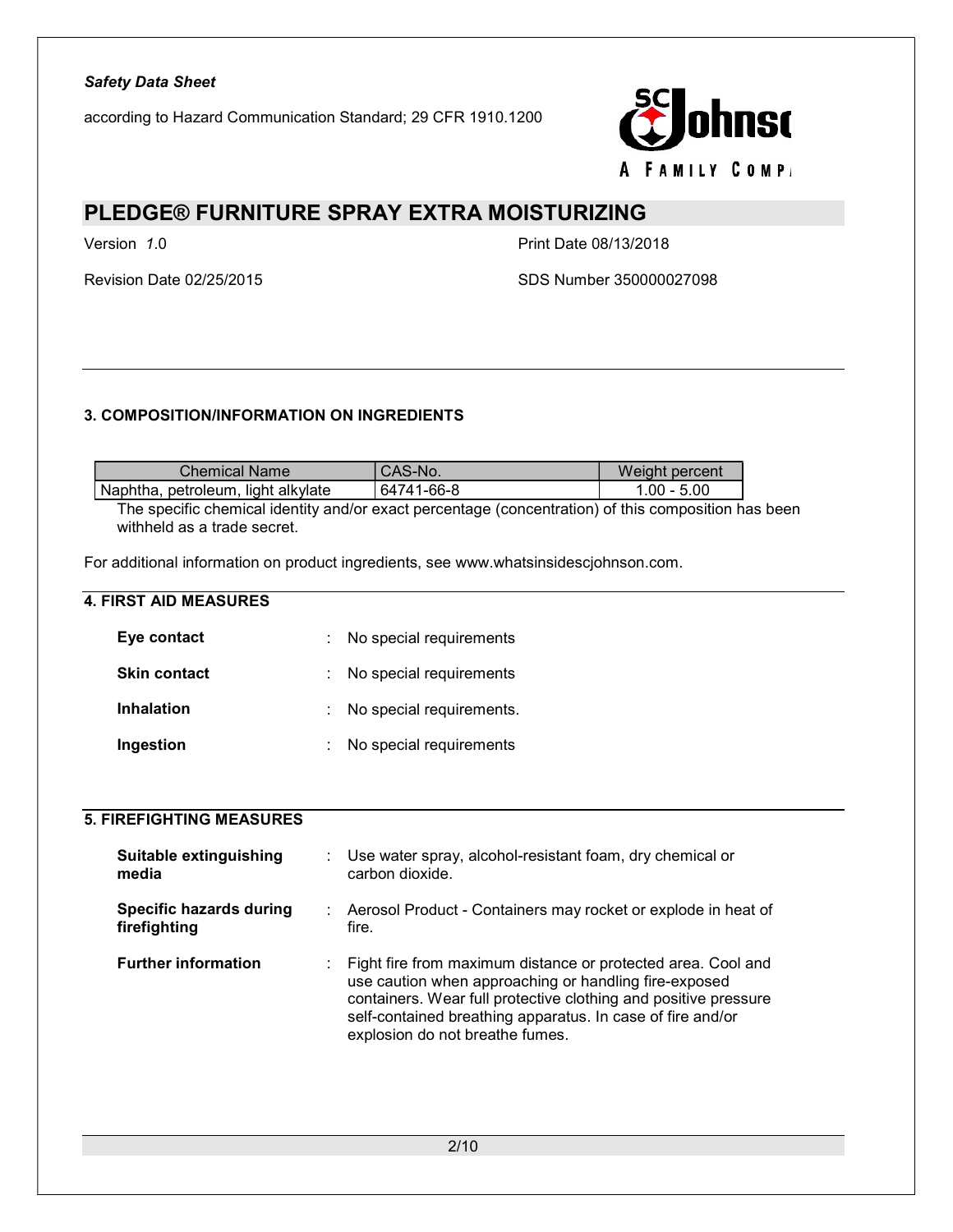according to Hazard Communication Standard; 29 CFR 1910.1200



# PLEDGE® FURNITURE SPRAY EXTRA MOISTURIZING

Version 1.0 **Print Date 08/13/2018** 

Revision Date 02/25/2015 SDS Number 350000027098

### 3. COMPOSITION/INFORMATION ON INGREDIENTS

| <b>Chemical Name</b>                                                                                                               | CAS-No.    | Weight percent |  |
|------------------------------------------------------------------------------------------------------------------------------------|------------|----------------|--|
| Naphtha, petroleum, light alkylate                                                                                                 | 64741-66-8 | $1.00 - 5.00$  |  |
| The specific chemical identity and/or exact percentage (concentration) of this composition has been<br>withheld as a trade secret. |            |                |  |

For additional information on product ingredients, see www.whatsinsidescjohnson.com.

## 4. FIRST AID MEASURES

| Eye contact         | No special requirements  |
|---------------------|--------------------------|
| <b>Skin contact</b> | No special requirements  |
| <b>Inhalation</b>   | No special requirements. |
| Ingestion           | No special requirements  |

### 5. FIREFIGHTING MEASURES

| Suitable extinguishing<br>media                | Use water spray, alcohol-resistant foam, dry chemical or<br>carbon dioxide.                                                                                                                                                                                                               |
|------------------------------------------------|-------------------------------------------------------------------------------------------------------------------------------------------------------------------------------------------------------------------------------------------------------------------------------------------|
| <b>Specific hazards during</b><br>firefighting | Aerosol Product - Containers may rocket or explode in heat of<br>fire.                                                                                                                                                                                                                    |
| <b>Further information</b>                     | Fight fire from maximum distance or protected area. Cool and<br>use caution when approaching or handling fire-exposed<br>containers. Wear full protective clothing and positive pressure<br>self-contained breathing apparatus. In case of fire and/or<br>explosion do not breathe fumes. |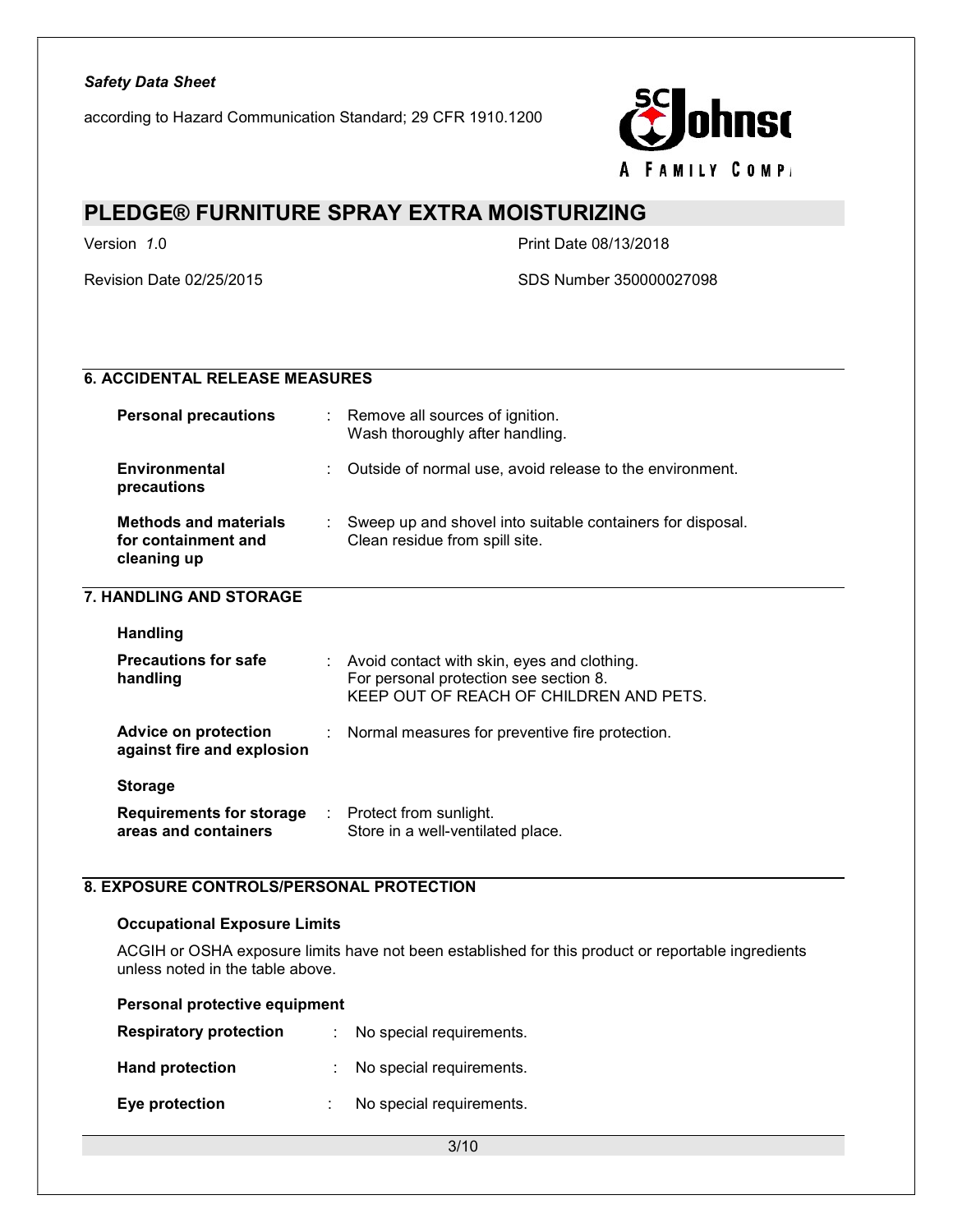according to Hazard Communication Standard; 29 CFR 1910.1200



## PLEDGE® FURNITURE SPRAY EXTRA MOISTURIZING

Version 1.0 Print Date 08/13/2018

Revision Date 02/25/2015 SDS Number 350000027098

### 6. ACCIDENTAL RELEASE MEASURES **Personal precautions** : Remove all sources of ignition. Wash thoroughly after handling. **Environmental** precautions : Outside of normal use, avoid release to the environment. Methods and materials for containment and cleaning up : Sweep up and shovel into suitable containers for disposal. Clean residue from spill site. 7. HANDLING AND STORAGE Handling Precautions for safe handling : Avoid contact with skin, eyes and clothing. For personal protection see section 8. KEEP OUT OF REACH OF CHILDREN AND PETS.

| <b>Advice on protection</b><br>against fire and explosion | Normal measures for preventive fire protection.             |
|-----------------------------------------------------------|-------------------------------------------------------------|
| <b>Storage</b>                                            |                                                             |
| <b>Requirements for storage</b><br>areas and containers   | Protect from sunlight.<br>Store in a well-ventilated place. |

### 8. EXPOSURE CONTROLS/PERSONAL PROTECTION

### Occupational Exposure Limits

ACGIH or OSHA exposure limits have not been established for this product or reportable ingredients unless noted in the table above.

| Personal protective equipment |  |                            |  |  |  |
|-------------------------------|--|----------------------------|--|--|--|
| <b>Respiratory protection</b> |  | No special requirements.   |  |  |  |
| <b>Hand protection</b>        |  | : No special requirements. |  |  |  |
| Eye protection                |  | No special requirements.   |  |  |  |

3/10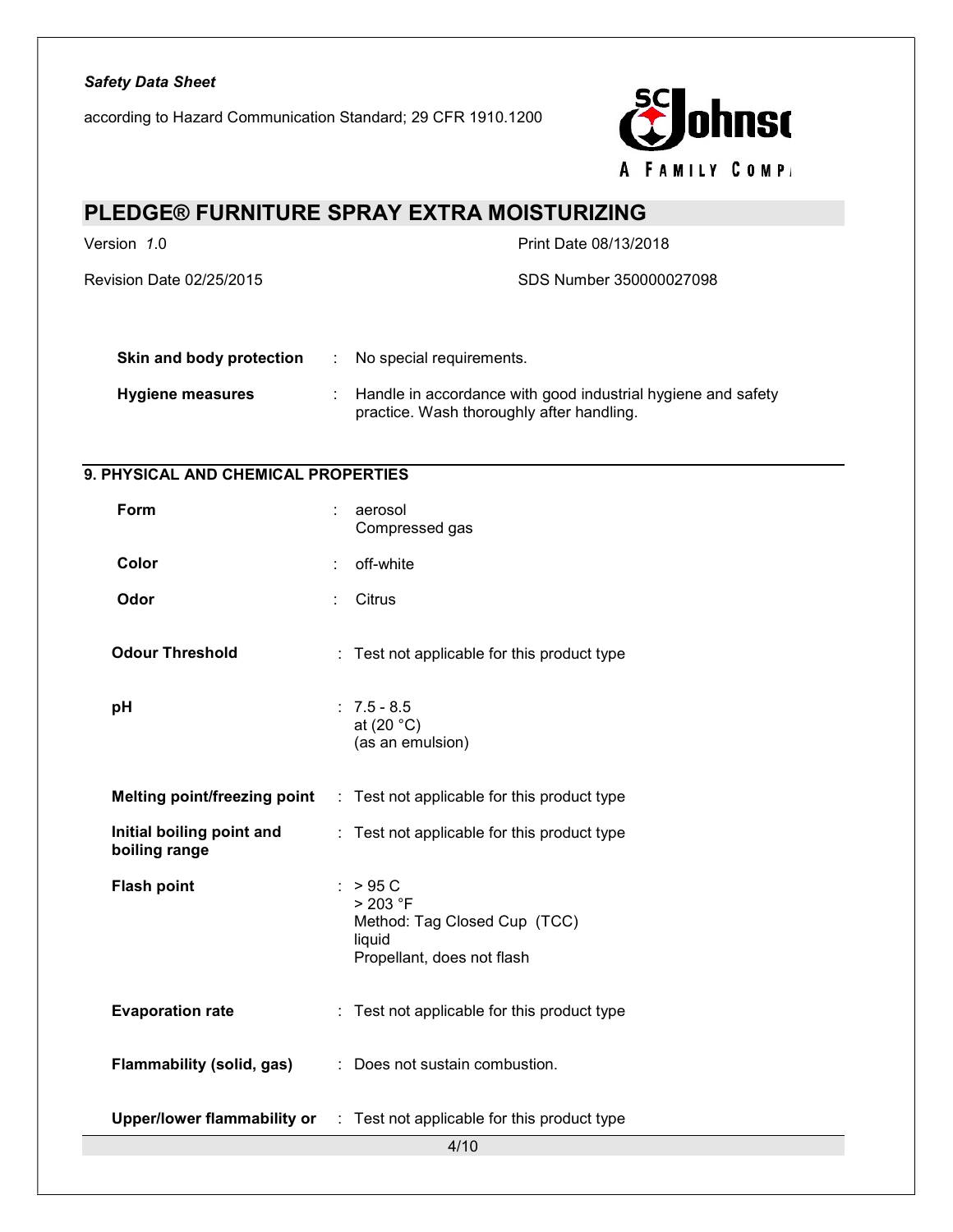according to Hazard Communication Standard; 29 CFR 1910.1200



# PLEDGE® FURNITURE SPRAY EXTRA MOISTURIZING

Version 1.0 **Print Date 08/13/2018** 

Revision Date 02/25/2015 SDS Number 350000027098

| Skin and body protection | No special requirements.                                                                                    |
|--------------------------|-------------------------------------------------------------------------------------------------------------|
| <b>Hygiene measures</b>  | : Handle in accordance with good industrial hygiene and safety<br>practice. Wash thoroughly after handling. |

### 9. PHYSICAL AND CHEMICAL PROPERTIES

| Form                                       | ÷<br>aerosol<br>Compressed gas                                                               |
|--------------------------------------------|----------------------------------------------------------------------------------------------|
| Color                                      | off-white<br>÷                                                                               |
| Odor                                       | Citrus                                                                                       |
| <b>Odour Threshold</b>                     | : Test not applicable for this product type                                                  |
| pH                                         | $: 7.5 - 8.5$<br>at $(20 °C)$<br>(as an emulsion)                                            |
| <b>Melting point/freezing point</b>        | : Test not applicable for this product type                                                  |
| Initial boiling point and<br>boiling range | : Test not applicable for this product type                                                  |
| <b>Flash point</b>                         | : > 95 C<br>> 203 °F<br>Method: Tag Closed Cup (TCC)<br>liquid<br>Propellant, does not flash |
| <b>Evaporation rate</b>                    | : Test not applicable for this product type                                                  |
| Flammability (solid, gas)                  | : Does not sustain combustion.                                                               |
|                                            | Upper/lower flammability or : Test not applicable for this product type                      |
|                                            | 4/10                                                                                         |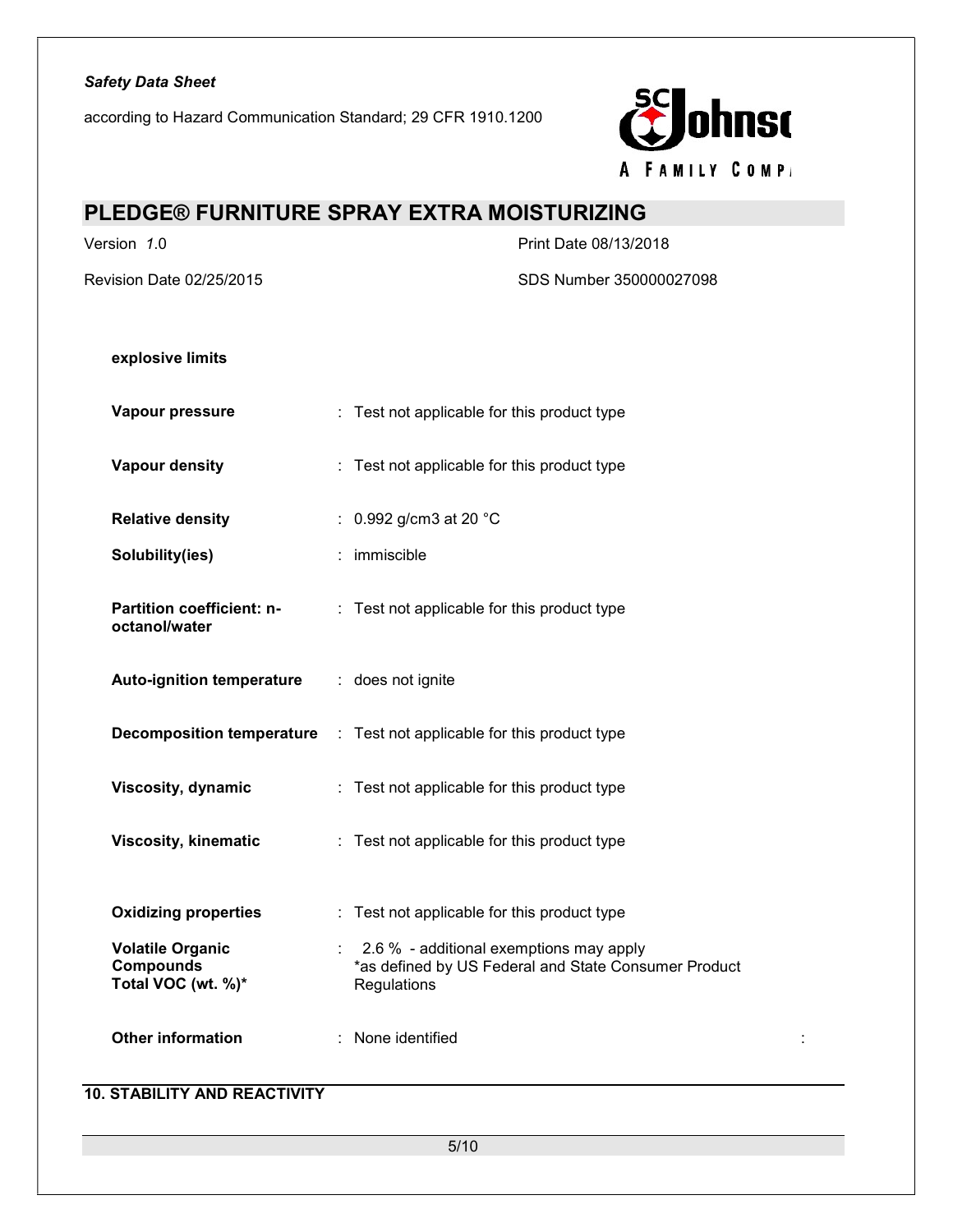according to Hazard Communication Standard; 29 CFR 1910.1200



## PLEDGE® FURNITURE SPRAY EXTRA MOISTURIZING

Version 1.0 **Print Date 08/13/2018** 

Revision Date 02/25/2015 SDS Number 350000027098

### explosive limits

| Vapour pressure                                                   | : Test not applicable for this product type                                                                    |
|-------------------------------------------------------------------|----------------------------------------------------------------------------------------------------------------|
| <b>Vapour density</b>                                             | : Test not applicable for this product type                                                                    |
| <b>Relative density</b>                                           | : $0.992$ g/cm3 at 20 °C                                                                                       |
| Solubility(ies)                                                   | : immiscible                                                                                                   |
| Partition coefficient: n-<br>octanol/water                        | : Test not applicable for this product type                                                                    |
| <b>Auto-ignition temperature</b>                                  | : does not ignite                                                                                              |
| <b>Decomposition temperature</b>                                  | : Test not applicable for this product type                                                                    |
| Viscosity, dynamic                                                | : Test not applicable for this product type                                                                    |
| <b>Viscosity, kinematic</b>                                       | : Test not applicable for this product type                                                                    |
| <b>Oxidizing properties</b>                                       | : Test not applicable for this product type                                                                    |
| <b>Volatile Organic</b><br><b>Compounds</b><br>Total VOC (wt. %)* | 2.6 % - additional exemptions may apply<br>*as defined by US Federal and State Consumer Product<br>Regulations |
| <b>Other information</b>                                          | None identified                                                                                                |

### 10. STABILITY AND REACTIVITY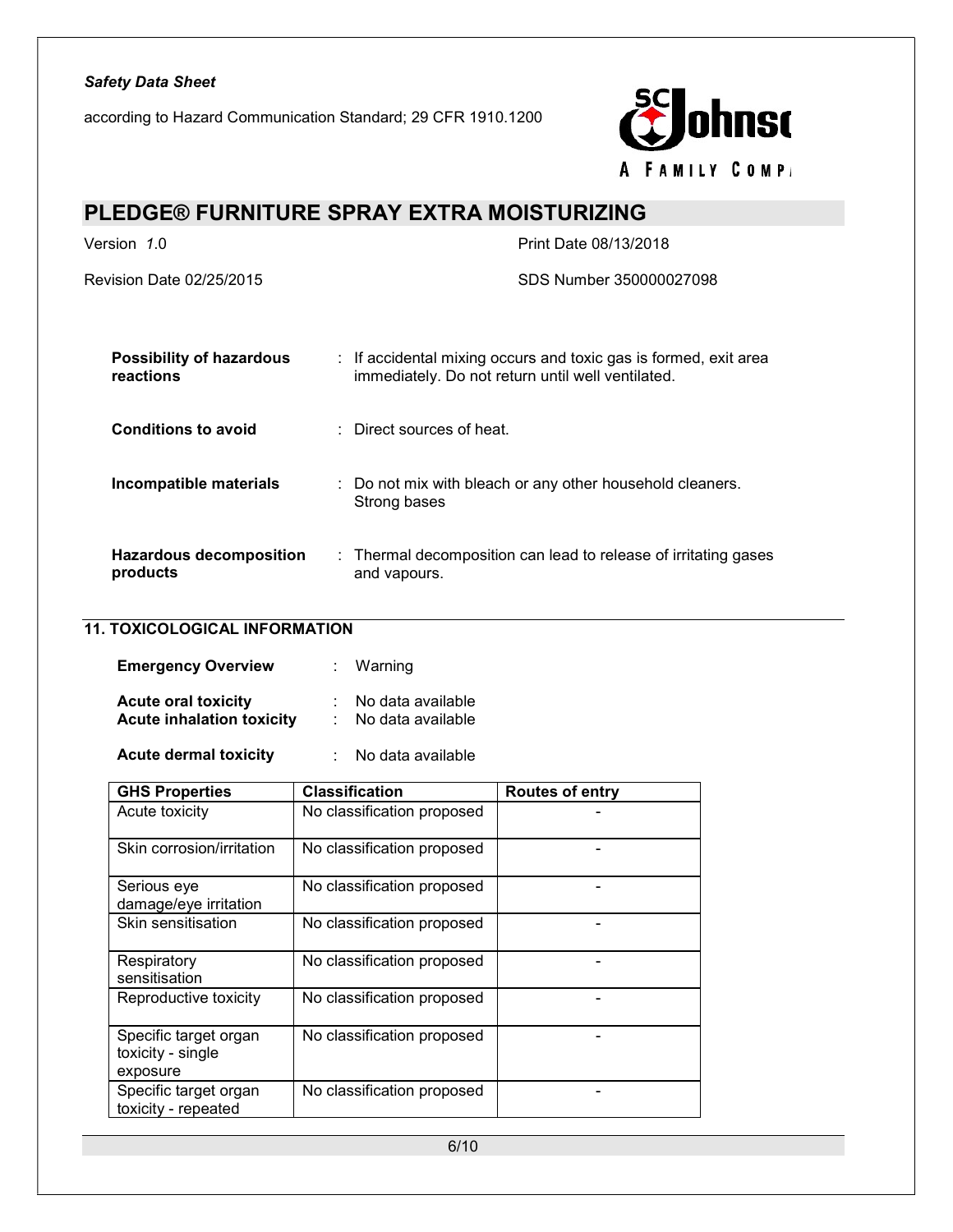according to Hazard Communication Standard; 29 CFR 1910.1200



# PLEDGE® FURNITURE SPRAY EXTRA MOISTURIZING

Version 1.0 **Print Date 08/13/2018** 

Revision Date 02/25/2015 SDS Number 350000027098

| <b>Possibility of hazardous</b><br>reactions | : If accidental mixing occurs and toxic gas is formed, exit area<br>immediately. Do not return until well ventilated. |
|----------------------------------------------|-----------------------------------------------------------------------------------------------------------------------|
| <b>Conditions to avoid</b>                   | $\therefore$ Direct sources of heat.                                                                                  |
| Incompatible materials                       | : Do not mix with bleach or any other household cleaners.<br>Strong bases                                             |
| Hazardous decomposition<br>products          | : Thermal decomposition can lead to release of irritating gases<br>and vapours.                                       |

### 11. TOXICOLOGICAL INFORMATION

| <b>Emergency Overview</b>                                      | : Warning                              |
|----------------------------------------------------------------|----------------------------------------|
| <b>Acute oral toxicity</b><br><b>Acute inhalation toxicity</b> | No data available<br>No data available |

Acute dermal toxicity : No data available

| <b>GHS Properties</b>                                  | <b>Classification</b>      | <b>Routes of entry</b> |
|--------------------------------------------------------|----------------------------|------------------------|
| Acute toxicity                                         | No classification proposed |                        |
| Skin corrosion/irritation                              | No classification proposed |                        |
| Serious eye<br>damage/eye irritation                   | No classification proposed |                        |
| Skin sensitisation                                     | No classification proposed |                        |
| Respiratory<br>sensitisation                           | No classification proposed |                        |
| Reproductive toxicity                                  | No classification proposed |                        |
| Specific target organ<br>toxicity - single<br>exposure | No classification proposed |                        |
| Specific target organ<br>toxicity - repeated           | No classification proposed |                        |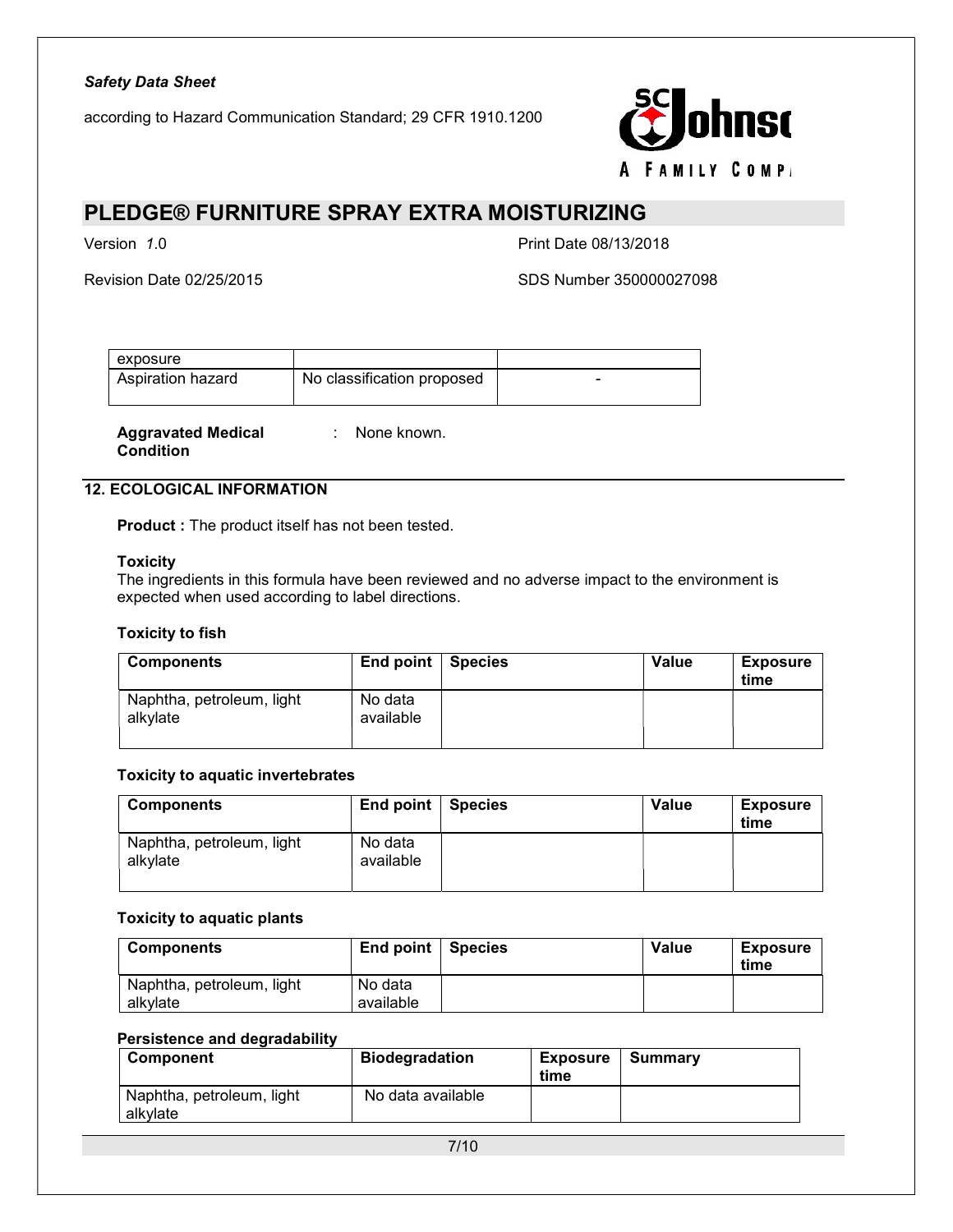according to Hazard Communication Standard; 29 CFR 1910.1200



## PLEDGE® FURNITURE SPRAY EXTRA MOISTURIZING

Version 1.0 Print Date 08/13/2018

Revision Date 02/25/2015 SDS Number 350000027098

| exposure          |                            |  |
|-------------------|----------------------------|--|
| Aspiration hazard | No classification proposed |  |
|                   |                            |  |

Aggravated Medical **Example 2: None known**. **Condition** 

## 12. ECOLOGICAL INFORMATION

Product : The product itself has not been tested.

#### **Toxicity**

The ingredients in this formula have been reviewed and no adverse impact to the environment is expected when used according to label directions.

### Toxicity to fish

| <b>Components</b>                     | End point   Species  | Value | <b>Exposure</b><br>time |
|---------------------------------------|----------------------|-------|-------------------------|
| Naphtha, petroleum, light<br>alkvlate | No data<br>available |       |                         |

#### Toxicity to aquatic invertebrates

| <b>Components</b>                     | End point   Species  | Value | <b>Exposure</b><br>time |
|---------------------------------------|----------------------|-------|-------------------------|
| Naphtha, petroleum, light<br>alkvlate | No data<br>available |       |                         |

#### Toxicity to aquatic plants

| <b>Components</b>                     | End point   Species  | Value | <b>Exposure</b><br>time |
|---------------------------------------|----------------------|-------|-------------------------|
| Naphtha, petroleum, light<br>alkvlate | No data<br>available |       |                         |

### Persistence and degradability

| Component                             | <b>Biodegradation</b> | <b>Exposure</b><br>time | Summarv |
|---------------------------------------|-----------------------|-------------------------|---------|
| Naphtha, petroleum, light<br>alkvlate | No data available     |                         |         |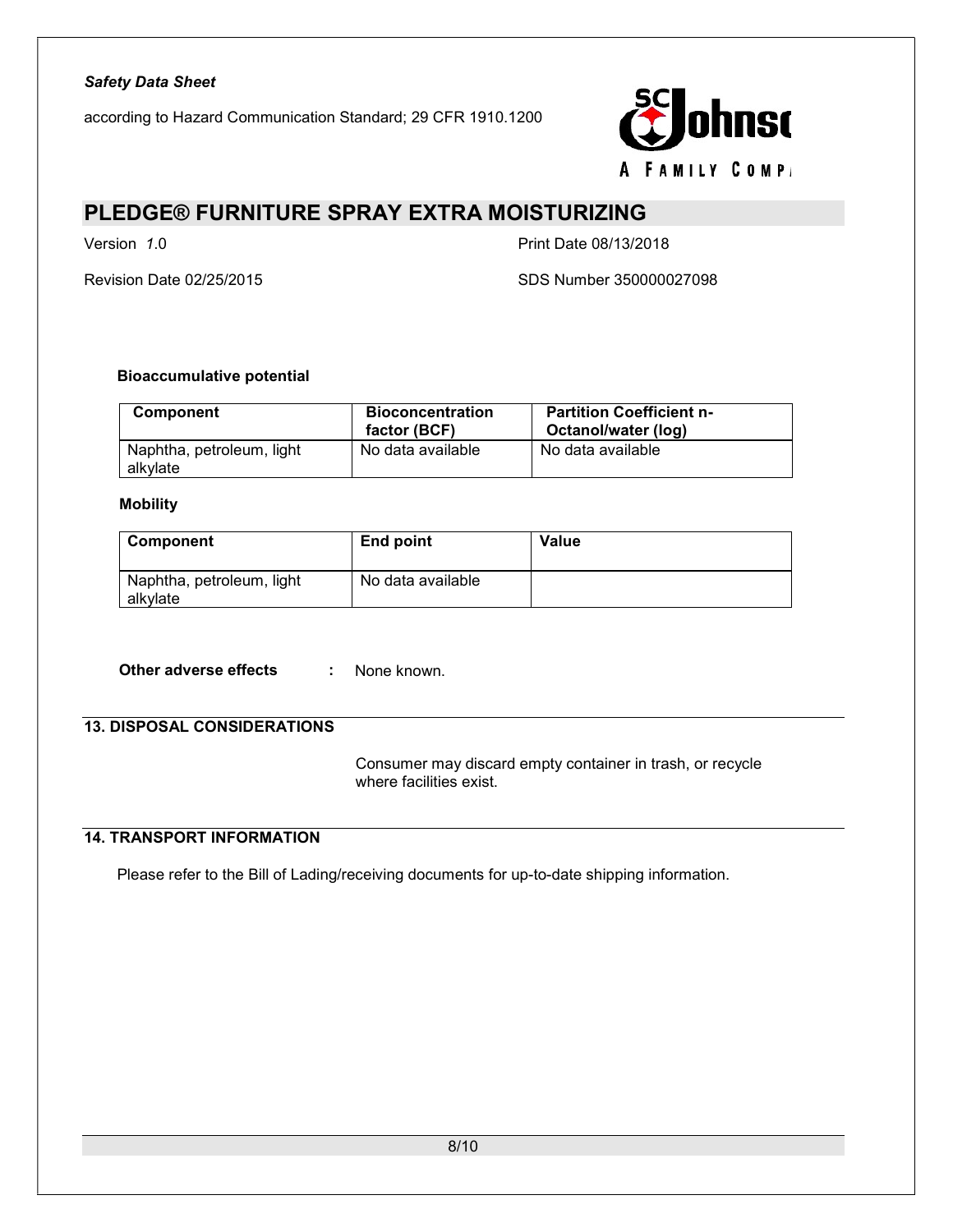according to Hazard Communication Standard; 29 CFR 1910.1200



# PLEDGE® FURNITURE SPRAY EXTRA MOISTURIZING

Version 1.0 Print Date 08/13/2018

Revision Date 02/25/2015 SDS Number 350000027098

### Bioaccumulative potential

| Component                             | <b>Bioconcentration</b><br>factor (BCF) | <b>Partition Coefficient n-</b><br>Octanol/water (log) |
|---------------------------------------|-----------------------------------------|--------------------------------------------------------|
| Naphtha, petroleum, light<br>alkvlate | No data available                       | No data available                                      |

### Mobility

| ∣ Component                           | End point         | Value |
|---------------------------------------|-------------------|-------|
| Naphtha, petroleum, light<br>alkvlate | No data available |       |

Other adverse effects : None known.

## 13. DISPOSAL CONSIDERATIONS

 Consumer may discard empty container in trash, or recycle where facilities exist.

## 14. TRANSPORT INFORMATION

Please refer to the Bill of Lading/receiving documents for up-to-date shipping information.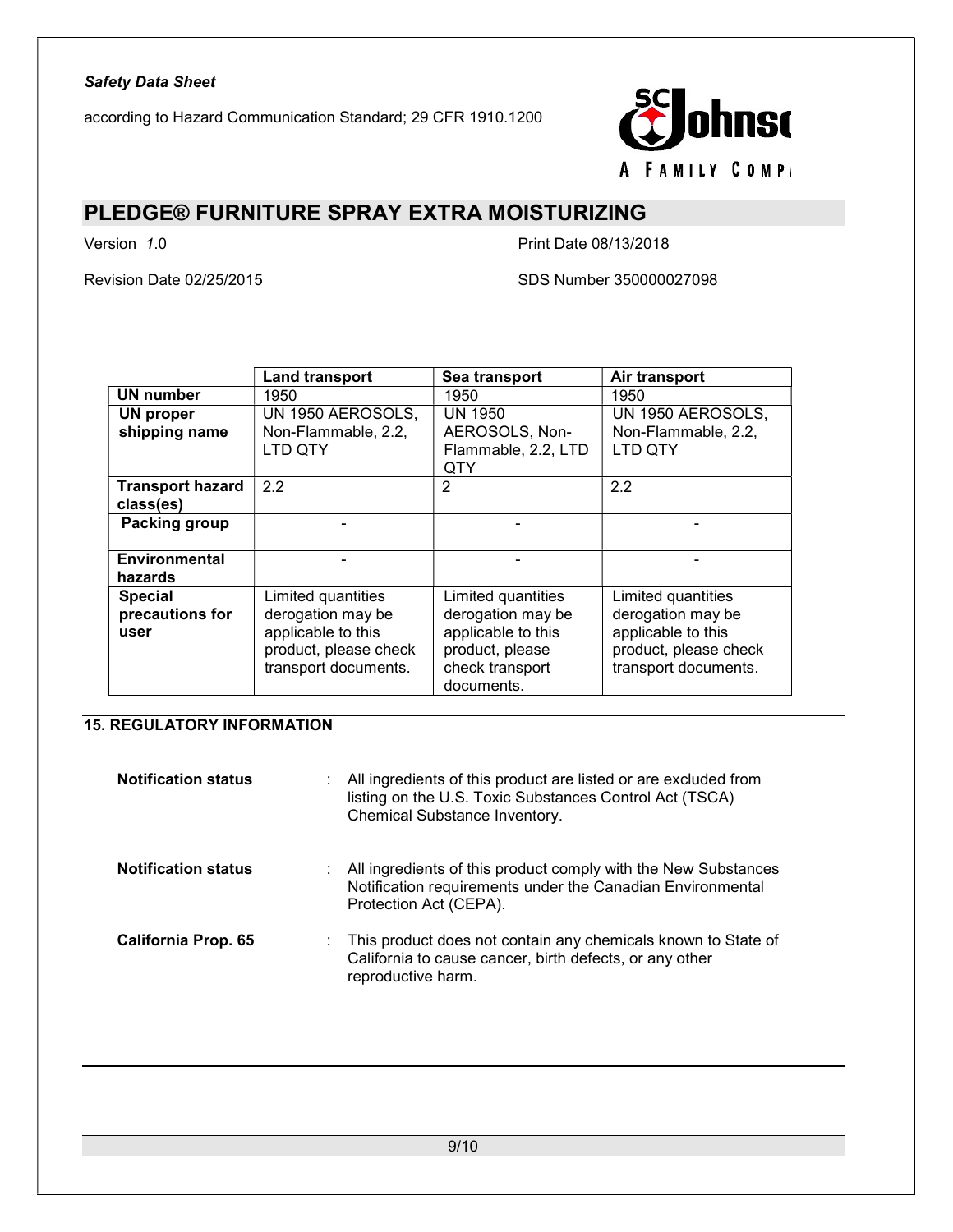according to Hazard Communication Standard; 29 CFR 1910.1200



# PLEDGE® FURNITURE SPRAY EXTRA MOISTURIZING

Version 1.0 **Print Date 08/13/2018** 

Revision Date 02/25/2015 SDS Number 350000027098

|                         | <b>Land transport</b> | Sea transport       | Air transport         |
|-------------------------|-----------------------|---------------------|-----------------------|
| <b>UN number</b>        | 1950                  | 1950                | 1950                  |
| <b>UN proper</b>        | UN 1950 AEROSOLS,     | <b>UN 1950</b>      | UN 1950 AEROSOLS,     |
| shipping name           | Non-Flammable, 2.2,   | AEROSOLS, Non-      | Non-Flammable, 2.2,   |
|                         | LTD QTY               | Flammable, 2.2, LTD | <b>LTD QTY</b>        |
|                         |                       | QTY                 |                       |
| <b>Transport hazard</b> | 2.2                   | 2                   | 2.2                   |
| class(es)               |                       |                     |                       |
| Packing group           |                       |                     |                       |
|                         |                       |                     |                       |
| Environmental           |                       |                     |                       |
| hazards                 |                       |                     |                       |
| <b>Special</b>          | Limited quantities    | Limited quantities  | Limited quantities    |
| precautions for         | derogation may be     | derogation may be   | derogation may be     |
| user                    | applicable to this    | applicable to this  | applicable to this    |
|                         | product, please check | product, please     | product, please check |
|                         | transport documents.  | check transport     | transport documents.  |
|                         |                       | documents.          |                       |

## 15. REGULATORY INFORMATION

| <b>Notification status</b> | : All ingredients of this product are listed or are excluded from<br>listing on the U.S. Toxic Substances Control Act (TSCA)<br>Chemical Substance Inventory. |
|----------------------------|---------------------------------------------------------------------------------------------------------------------------------------------------------------|
| <b>Notification status</b> | : All ingredients of this product comply with the New Substances<br>Notification requirements under the Canadian Environmental<br>Protection Act (CEPA).      |
| California Prop. 65        | : This product does not contain any chemicals known to State of<br>California to cause cancer, birth defects, or any other<br>reproductive harm.              |